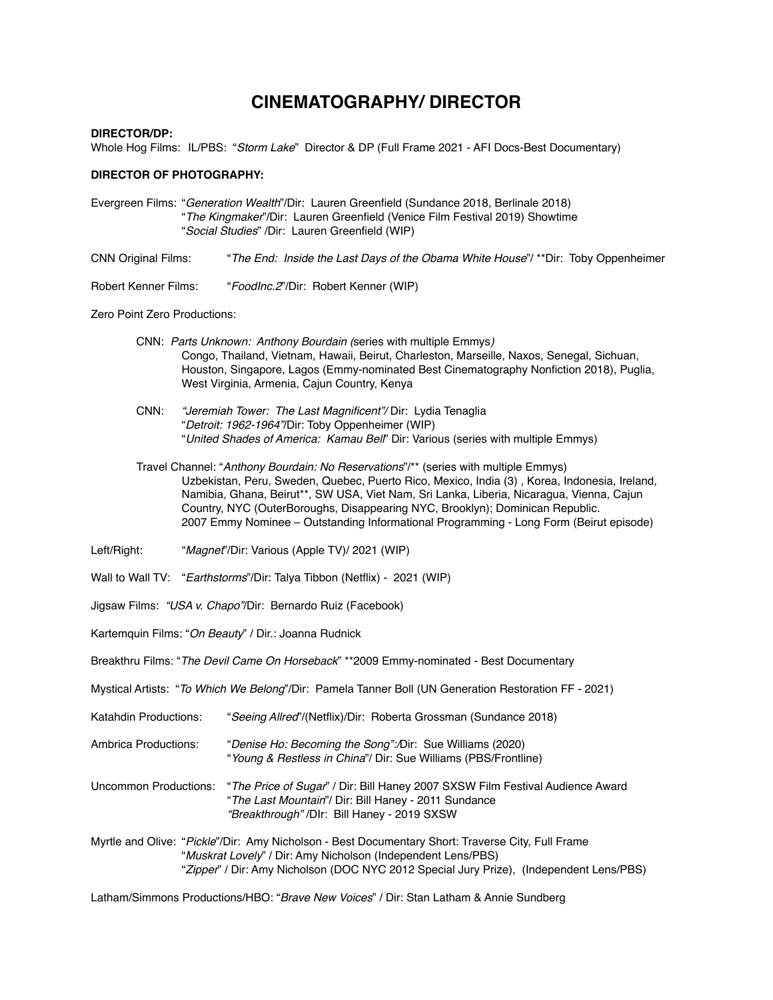## **CINEMATOGRAPHY/ DIRECTOR**

## **DIRECTOR/DP:**

Whole Hog Films: IL/PBS: "*Storm Lake*" Director & DP (Full Frame 2021 - AFI Docs-Best Documentary)

## **DIRECTOR OF PHOTOGRAPHY:**

- Evergreen Films: "*Generation Wealth*"/Dir: Lauren Greenfield (Sundance 2018, Berlinale 2018) "*The Kingmaker*"/Dir: Lauren Greenfield (Venice Film Festival 2019) Showtime "*Social Studies*" /Dir: Lauren Greenfield (WIP)
- CNN Original Films: "*The End: Inside the Last Days of the Obama White House*"/ \*\*Dir: Toby Oppenheimer
- Robert Kenner Films: "*FoodInc.2*"/Dir: Robert Kenner (WIP)

Zero Point Zero Productions:

- CNN: *Parts Unknown: Anthony Bourdain (*series with multiple Emmys*)* Congo, Thailand, Vietnam, Hawaii, Beirut, Charleston, Marseille, Naxos, Senegal, Sichuan, Houston, Singapore, Lagos (Emmy-nominated Best Cinematography Nonfiction 2018), Puglia, West Virginia, Armenia, Cajun Country, Kenya
- CNN: *"Jeremiah Tower: The Last Magnificent"/* Dir: Lydia Tenaglia "*Detroit: 1962-1964"*/Dir: Toby Oppenheimer (WIP) "*United Shades of America: Kamau Bell*" Dir: Various (series with multiple Emmys)
- Travel Channel: "*Anthony Bourdain: No Reservations*"/\*\* (series with multiple Emmys) Uzbekistan, Peru, Sweden, Quebec, Puerto Rico, Mexico, India (3) , Korea, Indonesia, Ireland, Namibia, Ghana, Beirut\*\*, SW USA, Viet Nam, Sri Lanka, Liberia, Nicaragua, Vienna, Cajun Country, NYC (OuterBoroughs, Disappearing NYC, Brooklyn); Dominican Republic. 2007 Emmy Nominee – Outstanding Informational Programming - Long Form (Beirut episode)
- Left/Right: "*Magnet*"/Dir: Various (Apple TV)/ 2021 (WIP)
- Wall to Wall TV: "*Earthstorms*"/Dir: Talya Tibbon (Netflix) 2021 (WIP)
- Jigsaw Films: *"USA v. Chapo"*/Dir: Bernardo Ruiz (Facebook)
- Kartemquin Films: "*On Beauty*" / Dir.: Joanna Rudnick
- Breakthru Films: "*The Devil Came On Horseback*" \*\*2009 Emmy-nominated Best Documentary
- Mystical Artists: "*To Which We Belong*"/Dir: Pamela Tanner Boll (UN Generation Restoration FF 2021)
- Katahdin Productions: "*Seeing Allred*"/(Netflix)/Dir: Roberta Grossman (Sundance 2018)
- Ambrica Productions: "*Denise Ho: Becoming the Song":/*Dir: Sue Williams (2020) "*Young & Restless in China*"/ Dir: Sue Williams (PBS/Frontline)
- Uncommon Productions: "*The Price of Sugar*" / Dir: Bill Haney 2007 SXSW Film Festival Audience Award "*The Last Mountain*"/ Dir: Bill Haney - 2011 Sundance *"Breakthrough"* /DIr: Bill Haney - 2019 SXSW
- Myrtle and Olive: "*Pickle*"/Dir: Amy Nicholson Best Documentary Short: Traverse City, Full Frame "*Muskrat Lovely*" / Dir: Amy Nicholson (Independent Lens/PBS) "*Zipper*" / Dir: Amy Nicholson (DOC NYC 2012 Special Jury Prize), (Independent Lens/PBS)

Latham/Simmons Productions/HBO: "*Brave New Voices*" / Dir: Stan Latham & Annie Sundberg